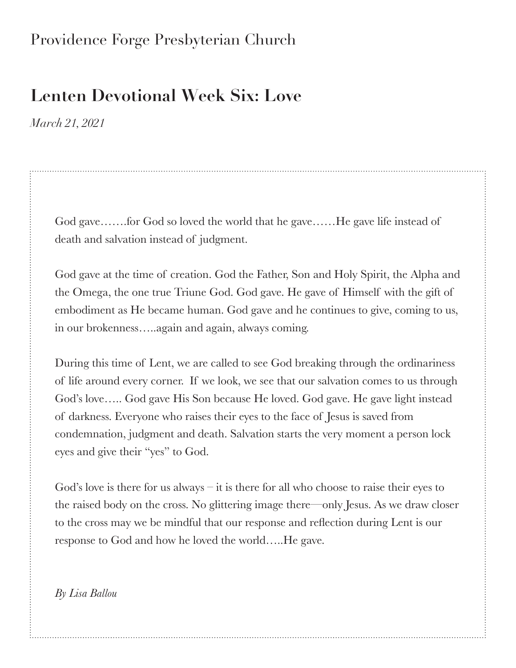## Providence Forge Presbyterian Church

## **Lenten Devotional Week Six: Love**

*March 21, 2021*

God gave.......for God so loved the world that he gave......He gave life instead of death and salvation instead of judgment.

God gave at the time of creation. God the Father, Son and Holy Spirit, the Alpha and the Omega, the one true Triune God. God gave. He gave of Himself with the gift of embodiment as He became human. God gave and he continues to give, coming to us, in our brokenness…..again and again, always coming.

During this time of Lent, we are called to see God breaking through the ordinariness of life around every corner. If we look, we see that our salvation comes to us through God's love….. God gave His Son because He loved. God gave. He gave light instead of darkness. Everyone who raises their eyes to the face of Jesus is saved from condemnation, judgment and death. Salvation starts the very moment a person lock eyes and give their "yes" to God.

God's love is there for us always  $-$  it is there for all who choose to raise their eyes to the raised body on the cross. No glittering image there—only Jesus. As we draw closer to the cross may we be mindful that our response and reflection during Lent is our response to God and how he loved the world…..He gave.

*By Lisa Ballou*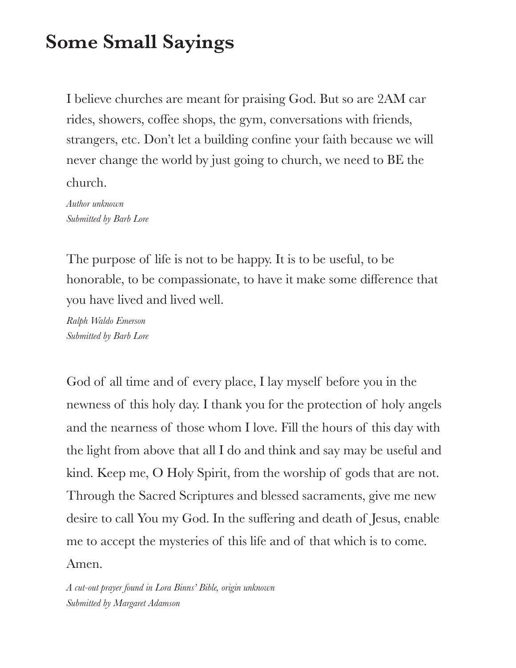## **Some Small Sayings**

I believe churches are meant for praising God. But so are 2AM car rides, showers, coffee shops, the gym, conversations with friends, strangers, etc. Don't let a building confine your faith because we will never change the world by just going to church, we need to BE the church.

*Author unknown Submitted by Barb Lore*

The purpose of life is not to be happy. It is to be useful, to be honorable, to be compassionate, to have it make some difference that you have lived and lived well.

*Ralph Waldo Emerson Submitted by Barb Lore*

God of all time and of every place, I lay myself before you in the newness of this holy day. I thank you for the protection of holy angels and the nearness of those whom I love. Fill the hours of this day with the light from above that all I do and think and say may be useful and kind. Keep me, O Holy Spirit, from the worship of gods that are not. Through the Sacred Scriptures and blessed sacraments, give me new desire to call You my God. In the suffering and death of Jesus, enable me to accept the mysteries of this life and of that which is to come. Amen.

*A cut-out prayer found in Lora Binns' Bible, origin unknown Submitted by Margaret Adamson*